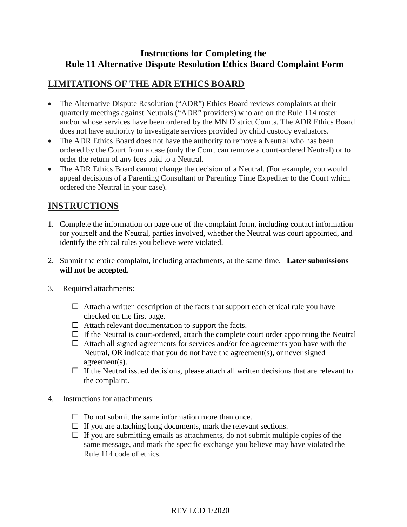#### **Instructions for Completing the Rule 11 Alternative Dispute Resolution Ethics Board Complaint Form**

#### **LIMITATIONS OF THE ADR ETHICS BOARD**

- The Alternative Dispute Resolution ("ADR") Ethics Board reviews complaints at their quarterly meetings against Neutrals ("ADR" providers) who are on the Rule 114 roster and/or whose services have been ordered by the MN District Courts. The ADR Ethics Board does not have authority to investigate services provided by child custody evaluators.
- The ADR Ethics Board does not have the authority to remove a Neutral who has been ordered by the Court from a case (only the Court can remove a court-ordered Neutral) or to order the return of any fees paid to a Neutral.
- The ADR Ethics Board cannot change the decision of a Neutral. (For example, you would appeal decisions of a Parenting Consultant or Parenting Time Expediter to the Court which ordered the Neutral in your case).

#### **INSTRUCTIONS**

- 1. Complete the information on page one of the complaint form, including contact information for yourself and the Neutral, parties involved, whether the Neutral was court appointed, and identify the ethical rules you believe were violated.
- 2. Submit the entire complaint, including attachments, at the same time. **Later submissions will not be accepted.**
- 3. Required attachments:
	- $\Box$  Attach a written description of the facts that support each ethical rule you have checked on the first page.
	- $\Box$  Attach relevant documentation to support the facts.
	- $\Box$  If the Neutral is court-ordered, attach the complete court order appointing the Neutral
	- $\Box$  Attach all signed agreements for services and/or fee agreements you have with the Neutral, OR indicate that you do not have the agreement(s), or never signed agreement(s).
	- $\Box$  If the Neutral issued decisions, please attach all written decisions that are relevant to the complaint.
- 4. Instructions for attachments:
	- $\Box$  Do not submit the same information more than once.
	- $\Box$  If you are attaching long documents, mark the relevant sections.
	- $\Box$  If you are submitting emails as attachments, do not submit multiple copies of the same message, and mark the specific exchange you believe may have violated the Rule 114 code of ethics.

REV LCD 1/2020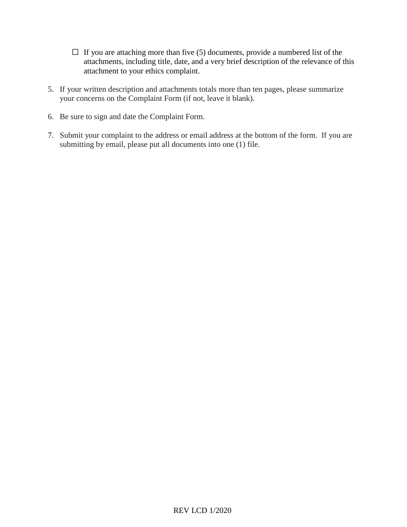- $\Box$  If you are attaching more than five (5) documents, provide a numbered list of the attachments, including title, date, and a very brief description of the relevance of this attachment to your ethics complaint.
- 5. If your written description and attachments totals more than ten pages, please summarize your concerns on the Complaint Form (if not, leave it blank).
- 6. Be sure to sign and date the Complaint Form.
- 7. Submit your complaint to the address or email address at the bottom of the form. If you are submitting by email, please put all documents into one (1) file.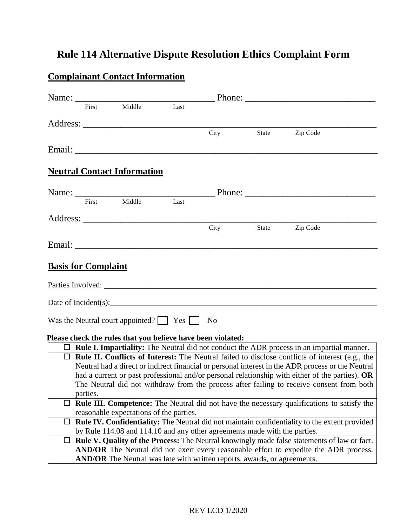# **Rule 114 Alternative Dispute Resolution Ethics Complaint Form**

## **Complainant Contact Information**

|                                                                                                                                                                                                      |                                                                                                                                                                            | Name: First Middle Last                                                                                                                                                                                                             |  |                |                      |                                                                                                        |  |
|------------------------------------------------------------------------------------------------------------------------------------------------------------------------------------------------------|----------------------------------------------------------------------------------------------------------------------------------------------------------------------------|-------------------------------------------------------------------------------------------------------------------------------------------------------------------------------------------------------------------------------------|--|----------------|----------------------|--------------------------------------------------------------------------------------------------------|--|
|                                                                                                                                                                                                      |                                                                                                                                                                            |                                                                                                                                                                                                                                     |  |                |                      |                                                                                                        |  |
|                                                                                                                                                                                                      |                                                                                                                                                                            | Address: No. 1996. The Second Second Second Second Second Second Second Second Second Second Second Second Second Second Second Second Second Second Second Second Second Second Second Second Second Second Second Second Sec      |  | City           | State                | Zip Code                                                                                               |  |
|                                                                                                                                                                                                      |                                                                                                                                                                            |                                                                                                                                                                                                                                     |  |                |                      |                                                                                                        |  |
|                                                                                                                                                                                                      |                                                                                                                                                                            |                                                                                                                                                                                                                                     |  |                |                      |                                                                                                        |  |
|                                                                                                                                                                                                      |                                                                                                                                                                            |                                                                                                                                                                                                                                     |  |                |                      |                                                                                                        |  |
|                                                                                                                                                                                                      |                                                                                                                                                                            | <b>Neutral Contact Information</b>                                                                                                                                                                                                  |  |                |                      |                                                                                                        |  |
|                                                                                                                                                                                                      |                                                                                                                                                                            |                                                                                                                                                                                                                                     |  |                |                      |                                                                                                        |  |
|                                                                                                                                                                                                      |                                                                                                                                                                            |                                                                                                                                                                                                                                     |  |                |                      |                                                                                                        |  |
|                                                                                                                                                                                                      |                                                                                                                                                                            |                                                                                                                                                                                                                                     |  |                |                      |                                                                                                        |  |
|                                                                                                                                                                                                      |                                                                                                                                                                            | Address: <u>Address</u> and the contract of the contract of the contract of the contract of the contract of the contract of the contract of the contract of the contract of the contract of the contract of the contract of the con |  |                |                      |                                                                                                        |  |
|                                                                                                                                                                                                      |                                                                                                                                                                            |                                                                                                                                                                                                                                     |  | City           |                      | State Zip Code                                                                                         |  |
|                                                                                                                                                                                                      |                                                                                                                                                                            |                                                                                                                                                                                                                                     |  |                |                      |                                                                                                        |  |
|                                                                                                                                                                                                      |                                                                                                                                                                            |                                                                                                                                                                                                                                     |  |                |                      |                                                                                                        |  |
|                                                                                                                                                                                                      | <b>Basis for Complaint</b>                                                                                                                                                 |                                                                                                                                                                                                                                     |  |                |                      |                                                                                                        |  |
|                                                                                                                                                                                                      |                                                                                                                                                                            |                                                                                                                                                                                                                                     |  |                |                      |                                                                                                        |  |
|                                                                                                                                                                                                      |                                                                                                                                                                            |                                                                                                                                                                                                                                     |  |                |                      |                                                                                                        |  |
|                                                                                                                                                                                                      |                                                                                                                                                                            |                                                                                                                                                                                                                                     |  |                |                      |                                                                                                        |  |
|                                                                                                                                                                                                      |                                                                                                                                                                            |                                                                                                                                                                                                                                     |  |                |                      |                                                                                                        |  |
|                                                                                                                                                                                                      |                                                                                                                                                                            | Was the Neutral court appointed? $\Box$ Yes                                                                                                                                                                                         |  | N <sub>0</sub> |                      |                                                                                                        |  |
|                                                                                                                                                                                                      |                                                                                                                                                                            |                                                                                                                                                                                                                                     |  |                |                      |                                                                                                        |  |
|                                                                                                                                                                                                      |                                                                                                                                                                            | Please check the rules that you believe have been violated:                                                                                                                                                                         |  |                | and the state of the |                                                                                                        |  |
|                                                                                                                                                                                                      |                                                                                                                                                                            |                                                                                                                                                                                                                                     |  |                |                      | $\Box$ Rule I. Impartiality: The Neutral did not conduct the ADR process in an impartial manner.       |  |
|                                                                                                                                                                                                      |                                                                                                                                                                            |                                                                                                                                                                                                                                     |  |                |                      | $\Box$ Rule II. Conflicts of Interest: The Neutral failed to disclose conflicts of interest (e.g., the |  |
| Neutral had a direct or indirect financial or personal interest in the ADR process or the Neutral<br>had a current or past professional and/or personal relationship with either of the parties). OR |                                                                                                                                                                            |                                                                                                                                                                                                                                     |  |                |                      |                                                                                                        |  |
|                                                                                                                                                                                                      |                                                                                                                                                                            |                                                                                                                                                                                                                                     |  |                |                      |                                                                                                        |  |
|                                                                                                                                                                                                      |                                                                                                                                                                            |                                                                                                                                                                                                                                     |  |                |                      | The Neutral did not withdraw from the process after failing to receive consent from both               |  |
|                                                                                                                                                                                                      | parties.                                                                                                                                                                   |                                                                                                                                                                                                                                     |  |                |                      |                                                                                                        |  |
| ப                                                                                                                                                                                                    |                                                                                                                                                                            |                                                                                                                                                                                                                                     |  |                |                      | <b>Rule III. Competence:</b> The Neutral did not have the necessary qualifications to satisfy the      |  |
|                                                                                                                                                                                                      |                                                                                                                                                                            | reasonable expectations of the parties.                                                                                                                                                                                             |  |                |                      |                                                                                                        |  |
|                                                                                                                                                                                                      | Rule IV. Confidentiality: The Neutral did not maintain confidentiality to the extent provided<br>by Rule 114.08 and 114.10 and any other agreements made with the parties. |                                                                                                                                                                                                                                     |  |                |                      |                                                                                                        |  |
|                                                                                                                                                                                                      |                                                                                                                                                                            |                                                                                                                                                                                                                                     |  |                |                      |                                                                                                        |  |
| Rule V. Quality of the Process: The Neutral knowingly made false statements of law or fact.<br>AND/OR The Neutral did not exert every reasonable effort to expedite the ADR process.                 |                                                                                                                                                                            |                                                                                                                                                                                                                                     |  |                |                      |                                                                                                        |  |
|                                                                                                                                                                                                      |                                                                                                                                                                            |                                                                                                                                                                                                                                     |  |                |                      |                                                                                                        |  |
|                                                                                                                                                                                                      |                                                                                                                                                                            | AND/OR The Neutral was late with written reports, awards, or agreements.                                                                                                                                                            |  |                |                      |                                                                                                        |  |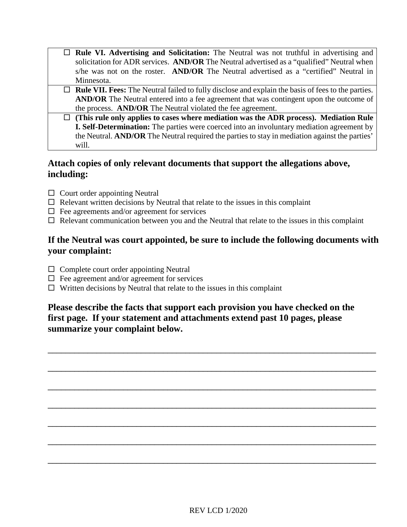- **Rule VI. Advertising and Solicitation:** The Neutral was not truthful in advertising and solicitation for ADR services. **AND/OR** The Neutral advertised as a "qualified" Neutral when s/he was not on the roster. **AND/OR** The Neutral advertised as a "certified" Neutral in Minnesota.
- **Rule VII. Fees:** The Neutral failed to fully disclose and explain the basis of fees to the parties. **AND/OR** The Neutral entered into a fee agreement that was contingent upon the outcome of the process. **AND/OR** The Neutral violated the fee agreement.
- **(This rule only applies to cases where mediation was the ADR process). Mediation Rule I. Self-Determination:** The parties were coerced into an involuntary mediation agreement by the Neutral. **AND/OR** The Neutral required the parties to stay in mediation against the parties' will.

#### **Attach copies of only relevant documents that support the allegations above, including:**

- $\Box$  Court order appointing Neutral
- $\Box$  Relevant written decisions by Neutral that relate to the issues in this complaint
- $\Box$  Fee agreements and/or agreement for services
- $\Box$  Relevant communication between you and the Neutral that relate to the issues in this complaint

#### **If the Neutral was court appointed, be sure to include the following documents with your complaint:**

- $\Box$  Complete court order appointing Neutral
- $\Box$  Fee agreement and/or agreement for services
- $\Box$  Written decisions by Neutral that relate to the issues in this complaint

#### **Please describe the facts that support each provision you have checked on the first page. If your statement and attachments extend past 10 pages, please summarize your complaint below.**

\_\_\_\_\_\_\_\_\_\_\_\_\_\_\_\_\_\_\_\_\_\_\_\_\_\_\_\_\_\_\_\_\_\_\_\_\_\_\_\_\_\_\_\_\_\_\_\_\_\_\_\_\_\_\_\_\_\_\_\_\_\_\_\_\_\_\_\_\_\_\_\_\_\_

\_\_\_\_\_\_\_\_\_\_\_\_\_\_\_\_\_\_\_\_\_\_\_\_\_\_\_\_\_\_\_\_\_\_\_\_\_\_\_\_\_\_\_\_\_\_\_\_\_\_\_\_\_\_\_\_\_\_\_\_\_\_\_\_\_\_\_\_\_\_\_\_\_\_

\_\_\_\_\_\_\_\_\_\_\_\_\_\_\_\_\_\_\_\_\_\_\_\_\_\_\_\_\_\_\_\_\_\_\_\_\_\_\_\_\_\_\_\_\_\_\_\_\_\_\_\_\_\_\_\_\_\_\_\_\_\_\_\_\_\_\_\_\_\_\_\_\_\_

\_\_\_\_\_\_\_\_\_\_\_\_\_\_\_\_\_\_\_\_\_\_\_\_\_\_\_\_\_\_\_\_\_\_\_\_\_\_\_\_\_\_\_\_\_\_\_\_\_\_\_\_\_\_\_\_\_\_\_\_\_\_\_\_\_\_\_\_\_\_\_\_\_\_

\_\_\_\_\_\_\_\_\_\_\_\_\_\_\_\_\_\_\_\_\_\_\_\_\_\_\_\_\_\_\_\_\_\_\_\_\_\_\_\_\_\_\_\_\_\_\_\_\_\_\_\_\_\_\_\_\_\_\_\_\_\_\_\_\_\_\_\_\_\_\_\_\_\_

\_\_\_\_\_\_\_\_\_\_\_\_\_\_\_\_\_\_\_\_\_\_\_\_\_\_\_\_\_\_\_\_\_\_\_\_\_\_\_\_\_\_\_\_\_\_\_\_\_\_\_\_\_\_\_\_\_\_\_\_\_\_\_\_\_\_\_\_\_\_\_\_\_\_

\_\_\_\_\_\_\_\_\_\_\_\_\_\_\_\_\_\_\_\_\_\_\_\_\_\_\_\_\_\_\_\_\_\_\_\_\_\_\_\_\_\_\_\_\_\_\_\_\_\_\_\_\_\_\_\_\_\_\_\_\_\_\_\_\_\_\_\_\_\_\_\_\_\_